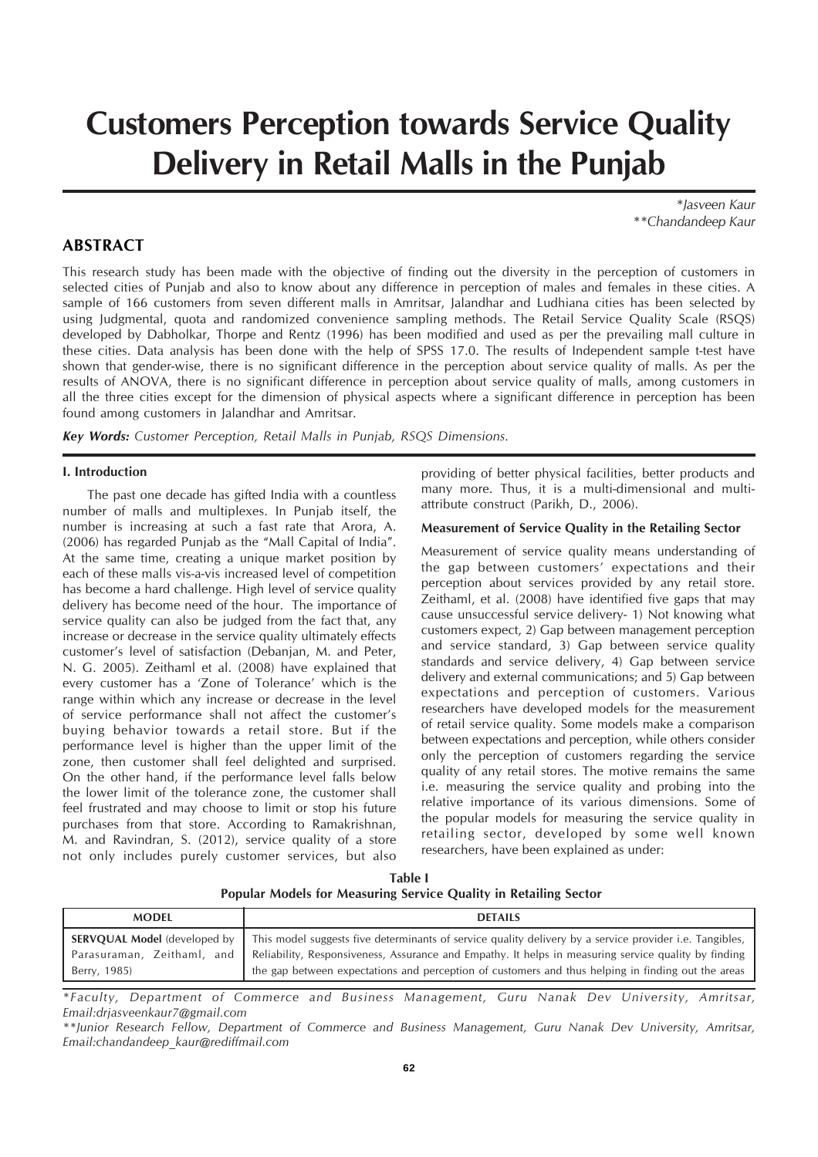# **Customers Perception towards Service Quality Delivery in Retail Malls in the Punjab**

*\*Jasveen Kaur \*\*Chandandeep Kaur*

# **ABSTRACT**

This research study has been made with the objective of finding out the diversity in the perception of customers in selected cities of Punjab and also to know about any difference in perception of males and females in these cities. A sample of 166 customers from seven different malls in Amritsar, Jalandhar and Ludhiana cities has been selected by using Judgmental, quota and randomized convenience sampling methods. The Retail Service Quality Scale (RSQS) developed by Dabholkar, Thorpe and Rentz (1996) has been modified and used as per the prevailing mall culture in these cities. Data analysis has been done with the help of SPSS 17.0. The results of Independent sample t-test have shown that gender-wise, there is no significant difference in the perception about service quality of malls. As per the results of ANOVA, there is no significant difference in perception about service quality of malls, among customers in all the three cities except for the dimension of physical aspects where a significant difference in perception has been found among customers in Jalandhar and Amritsar.

*Key Words: Customer Perception, Retail Malls in Punjab, RSQS Dimensions.*

#### **I. Introduction**

The past one decade has gifted India with a countless number of malls and multiplexes. In Punjab itself, the number is increasing at such a fast rate that Arora, A. (2006) has regarded Punjab as the "Mall Capital of India". At the same time, creating a unique market position by each of these malls vis-a-vis increased level of competition has become a hard challenge. High level of service quality delivery has become need of the hour. The importance of service quality can also be judged from the fact that, any increase or decrease in the service quality ultimately effects customer's level of satisfaction (Debanjan, M. and Peter, N. G. 2005). Zeithaml et al. (2008) have explained that every customer has a 'Zone of Tolerance' which is the range within which any increase or decrease in the level of service performance shall not affect the customer's buying behavior towards a retail store. But if the performance level is higher than the upper limit of the zone, then customer shall feel delighted and surprised. On the other hand, if the performance level falls below the lower limit of the tolerance zone, the customer shall feel frustrated and may choose to limit or stop his future purchases from that store. According to Ramakrishnan, M. and Ravindran, S. (2012), service quality of a store not only includes purely customer services, but also

providing of better physical facilities, better products and many more. Thus, it is a multi-dimensional and multiattribute construct (Parikh, D., 2006).

## **Measurement of Service Quality in the Retailing Sector**

Measurement of service quality means understanding of the gap between customers' expectations and their perception about services provided by any retail store. Zeithaml, et al. (2008) have identified five gaps that may cause unsuccessful service delivery- 1) Not knowing what customers expect, 2) Gap between management perception and service standard, 3) Gap between service quality standards and service delivery, 4) Gap between service delivery and external communications; and 5) Gap between expectations and perception of customers. Various researchers have developed models for the measurement of retail service quality. Some models make a comparison between expectations and perception, while others consider only the perception of customers regarding the service quality of any retail stores. The motive remains the same i.e. measuring the service quality and probing into the relative importance of its various dimensions. Some of the popular models for measuring the service quality in retailing sector, developed by some well known researchers, have been explained as under:

**Table I Popular Models for Measuring Service Quality in Retailing Sector**

| <b>MODEL</b>                                        | <b>DETAILS</b>                                                                                                                                                                                                                                                                                                                                          |
|-----------------------------------------------------|---------------------------------------------------------------------------------------------------------------------------------------------------------------------------------------------------------------------------------------------------------------------------------------------------------------------------------------------------------|
| <b>SERVOUAL Model</b> (developed by<br>Berry, 1985) | This model suggests five determinants of service quality delivery by a service provider <i>i.e.</i> Tangibles,<br>Parasuraman, Zeithaml, and Reliability, Responsiveness, Assurance and Empathy. It helps in measuring service quality by finding<br>the gap between expectations and perception of customers and thus helping in finding out the areas |

*\*Faculty, Department of Commerce and Business Management, Guru Nanak Dev University, Amritsar, Email:drjasveenkaur7@gmail.com*

*<sup>\*\*</sup>Junior Research Fellow, Department of Commerce and Business Management, Guru Nanak Dev University, Amritsar, Email:chandandeep\_kaur@rediffmail.com*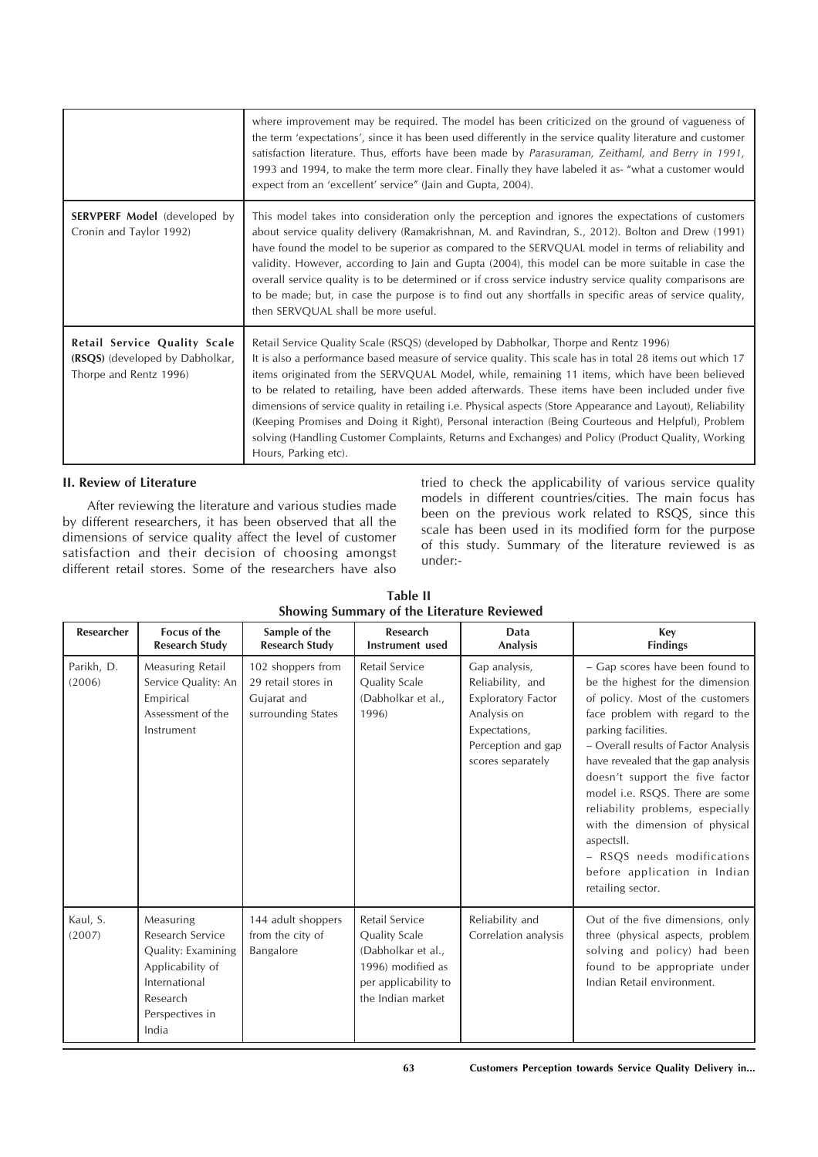|                                                                                           | where improvement may be required. The model has been criticized on the ground of vagueness of<br>the term 'expectations', since it has been used differently in the service quality literature and customer<br>satisfaction literature. Thus, efforts have been made by Parasuraman, Zeithaml, and Berry in 1991,<br>1993 and 1994, to make the term more clear. Finally they have labeled it as- "what a customer would<br>expect from an 'excellent' service" (Jain and Gupta, 2004).                                                                                                                                                                                                                                                                        |
|-------------------------------------------------------------------------------------------|-----------------------------------------------------------------------------------------------------------------------------------------------------------------------------------------------------------------------------------------------------------------------------------------------------------------------------------------------------------------------------------------------------------------------------------------------------------------------------------------------------------------------------------------------------------------------------------------------------------------------------------------------------------------------------------------------------------------------------------------------------------------|
| <b>SERVPERF Model</b> (developed by<br>Cronin and Taylor 1992)                            | This model takes into consideration only the perception and ignores the expectations of customers<br>about service quality delivery (Ramakrishnan, M. and Ravindran, S., 2012). Bolton and Drew (1991)<br>have found the model to be superior as compared to the SERVQUAL model in terms of reliability and<br>validity. However, according to Jain and Gupta (2004), this model can be more suitable in case the<br>overall service quality is to be determined or if cross service industry service quality comparisons are<br>to be made; but, in case the purpose is to find out any shortfalls in specific areas of service quality,<br>then SERVQUAL shall be more useful.                                                                                |
| Retail Service Quality Scale<br>(RSQS) (developed by Dabholkar,<br>Thorpe and Rentz 1996) | Retail Service Quality Scale (RSQS) (developed by Dabholkar, Thorpe and Rentz 1996)<br>It is also a performance based measure of service quality. This scale has in total 28 items out which 17<br>items originated from the SERVQUAL Model, while, remaining 11 items, which have been believed<br>to be related to retailing, have been added afterwards. These items have been included under five<br>dimensions of service quality in retailing <i>i.e.</i> Physical aspects (Store Appearance and Layout), Reliability<br>(Keeping Promises and Doing it Right), Personal interaction (Being Courteous and Helpful), Problem<br>solving (Handling Customer Complaints, Returns and Exchanges) and Policy (Product Quality, Working<br>Hours, Parking etc). |

## **II. Review of Literature**

After reviewing the literature and various studies made by different researchers, it has been observed that all the dimensions of service quality affect the level of customer satisfaction and their decision of choosing amongst different retail stores. Some of the researchers have also

tried to check the applicability of various service quality models in different countries/cities. The main focus has been on the previous work related to RSQS, since this scale has been used in its modified form for the purpose of this study. Summary of the literature reviewed is as under:-

**Table II Showing Summary of the Literature Reviewed**

| Researcher           | <b>Focus of the</b><br><b>Research Study</b>                                                                                     | Sample of the<br><b>Research Study</b>                                        | <b>Research</b><br>Instrument used                                                                                      | Data<br>Analysis                                                                                                                          | Key<br><b>Findings</b>                                                                                                                                                                                                                                                                                                                                                                                                                                                                        |
|----------------------|----------------------------------------------------------------------------------------------------------------------------------|-------------------------------------------------------------------------------|-------------------------------------------------------------------------------------------------------------------------|-------------------------------------------------------------------------------------------------------------------------------------------|-----------------------------------------------------------------------------------------------------------------------------------------------------------------------------------------------------------------------------------------------------------------------------------------------------------------------------------------------------------------------------------------------------------------------------------------------------------------------------------------------|
| Parikh, D.<br>(2006) | Measuring Retail<br>Service Quality: An<br>Empirical<br>Assessment of the<br>Instrument                                          | 102 shoppers from<br>29 retail stores in<br>Gujarat and<br>surrounding States | Retail Service<br>Quality Scale<br>(Dabholkar et al.,<br>1996)                                                          | Gap analysis,<br>Reliability, and<br><b>Exploratory Factor</b><br>Analysis on<br>Expectations,<br>Perception and gap<br>scores separately | - Gap scores have been found to<br>be the highest for the dimension<br>of policy. Most of the customers<br>face problem with regard to the<br>parking facilities.<br>- Overall results of Factor Analysis<br>have revealed that the gap analysis<br>doesn't support the five factor<br>model i.e. RSQS. There are some<br>reliability problems, especially<br>with the dimension of physical<br>aspectsII.<br>- RSQS needs modifications<br>before application in Indian<br>retailing sector. |
| Kaul, S.<br>(2007)   | Measuring<br>Research Service<br>Quality: Examining<br>Applicability of<br>International<br>Research<br>Perspectives in<br>India | 144 adult shoppers<br>from the city of<br>Bangalore                           | Retail Service<br>Quality Scale<br>(Dabholkar et al.,<br>1996) modified as<br>per applicability to<br>the Indian market | Reliability and<br>Correlation analysis                                                                                                   | Out of the five dimensions, only<br>three (physical aspects, problem<br>solving and policy) had been<br>found to be appropriate under<br>Indian Retail environment.                                                                                                                                                                                                                                                                                                                           |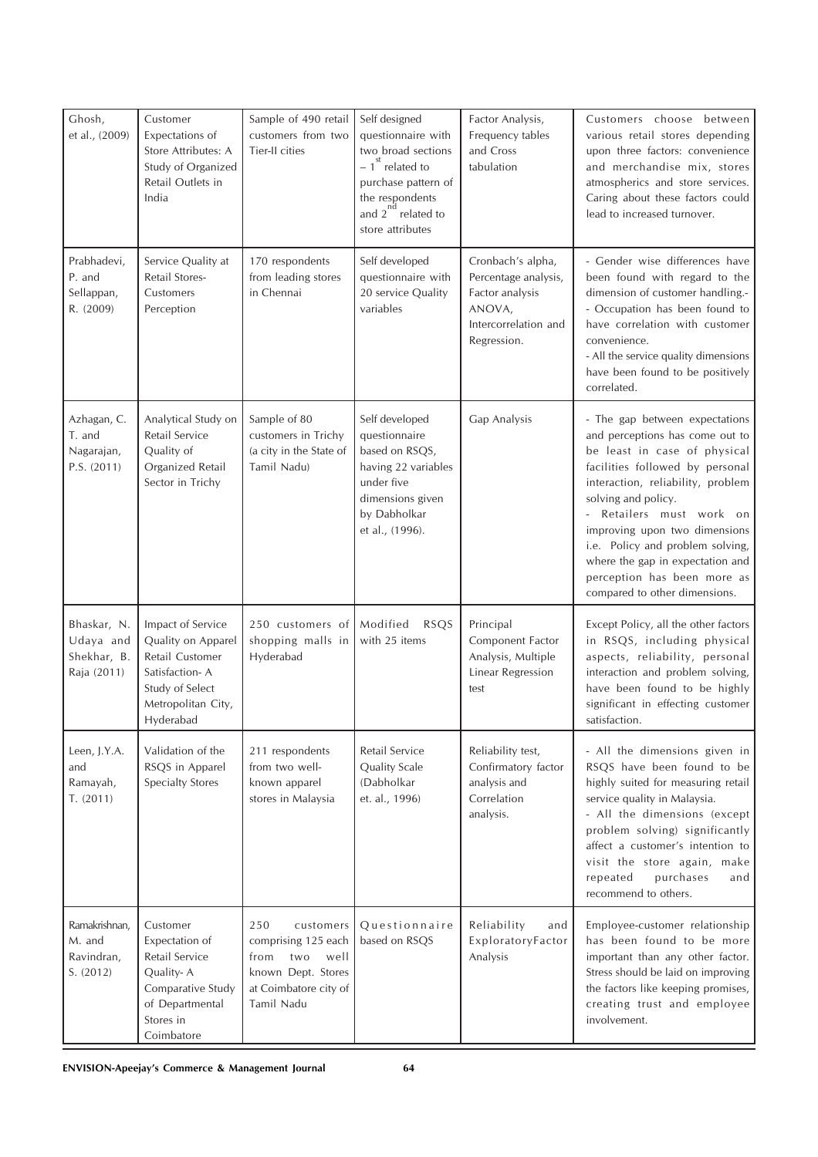| Ghosh,<br>et al., (2009)                               | Customer<br>Expectations of<br>Store Attributes: A<br>Study of Organized<br>Retail Outlets in<br>India                             | Sample of 490 retail<br>customers from two<br>Tier-II cities                                                                | Self designed<br>questionnaire with<br>two broad sections<br>$-1$ <sup>st</sup> related to<br>purchase pattern of<br>the respondents<br>and $2^{nd}$ related to<br>store attributes | Factor Analysis,<br>Frequency tables<br>and Cross<br>tabulation                                               | Customers choose between<br>various retail stores depending<br>upon three factors: convenience<br>and merchandise mix, stores<br>atmospherics and store services.<br>Caring about these factors could<br>lead to increased turnover.                                                                                                                                                                  |
|--------------------------------------------------------|------------------------------------------------------------------------------------------------------------------------------------|-----------------------------------------------------------------------------------------------------------------------------|-------------------------------------------------------------------------------------------------------------------------------------------------------------------------------------|---------------------------------------------------------------------------------------------------------------|-------------------------------------------------------------------------------------------------------------------------------------------------------------------------------------------------------------------------------------------------------------------------------------------------------------------------------------------------------------------------------------------------------|
| Prabhadevi,<br>P. and<br>Sellappan,<br>R. (2009)       | Service Quality at<br>Retail Stores-<br>Customers<br>Perception                                                                    | 170 respondents<br>from leading stores<br>in Chennai                                                                        | Self developed<br>questionnaire with<br>20 service Quality<br>variables                                                                                                             | Cronbach's alpha,<br>Percentage analysis,<br>Factor analysis<br>ANOVA,<br>Intercorrelation and<br>Regression. | - Gender wise differences have<br>been found with regard to the<br>dimension of customer handling.-<br>- Occupation has been found to<br>have correlation with customer<br>convenience.<br>- All the service quality dimensions<br>have been found to be positively<br>correlated.                                                                                                                    |
| Azhagan, C.<br>T. and<br>Nagarajan,<br>P.S. (2011)     | Analytical Study on<br>Retail Service<br>Quality of<br>Organized Retail<br>Sector in Trichy                                        | Sample of 80<br>customers in Trichy<br>(a city in the State of<br>Tamil Nadu)                                               | Self developed<br>questionnaire<br>based on RSQS,<br>having 22 variables<br>under five<br>dimensions given<br>by Dabholkar<br>et al., (1996).                                       | Gap Analysis                                                                                                  | - The gap between expectations<br>and perceptions has come out to<br>be least in case of physical<br>facilities followed by personal<br>interaction, reliability, problem<br>solving and policy.<br>- Retailers must work on<br>improving upon two dimensions<br>i.e. Policy and problem solving,<br>where the gap in expectation and<br>perception has been more as<br>compared to other dimensions. |
| Bhaskar, N.<br>Udaya and<br>Shekhar, B.<br>Raja (2011) | Impact of Service<br>Quality on Apparel<br>Retail Customer<br>Satisfaction-A<br>Study of Select<br>Metropolitan City,<br>Hyderabad | 250 customers of   Modified<br>shopping malls in<br>Hyderabad                                                               | <b>RSQS</b><br>with 25 items                                                                                                                                                        | Principal<br>Component Factor<br>Analysis, Multiple<br>Linear Regression<br>test                              | Except Policy, all the other factors<br>in RSQS, including physical<br>aspects, reliability, personal<br>interaction and problem solving,<br>have been found to be highly<br>significant in effecting customer<br>satisfaction.                                                                                                                                                                       |
| Leen, J.Y.A.<br>and<br>Ramayah,<br>T. (2011)           | Validation of the<br>RSQS in Apparel<br><b>Specialty Stores</b>                                                                    | 211 respondents<br>from two well-<br>known apparel<br>stores in Malaysia                                                    | Retail Service<br>Quality Scale<br>(Dabholkar<br>et. al., 1996)                                                                                                                     | Reliability test,<br>Confirmatory factor<br>analysis and<br>Correlation<br>analysis.                          | - All the dimensions given in<br>RSQS have been found to be<br>highly suited for measuring retail<br>service quality in Malaysia.<br>- All the dimensions (except<br>problem solving) significantly<br>affect a customer's intention to<br>visit the store again, make<br>purchases<br>repeated<br>and<br>recommend to others.                                                                        |
| Ramakrishnan,<br>M. and<br>Ravindran,<br>S. (2012)     | Customer<br>Expectation of<br>Retail Service<br>Quality-A<br>Comparative Study<br>of Departmental<br>Stores in<br>Coimbatore       | 250<br>customers<br>comprising 125 each<br>from<br>two<br>well<br>known Dept. Stores<br>at Coimbatore city of<br>Tamil Nadu | Questionnaire<br>based on RSQS                                                                                                                                                      | Reliability<br>and<br>ExploratoryFactor<br>Analysis                                                           | Employee-customer relationship<br>has been found to be more<br>important than any other factor.<br>Stress should be laid on improving<br>the factors like keeping promises,<br>creating trust and employee<br>involvement.                                                                                                                                                                            |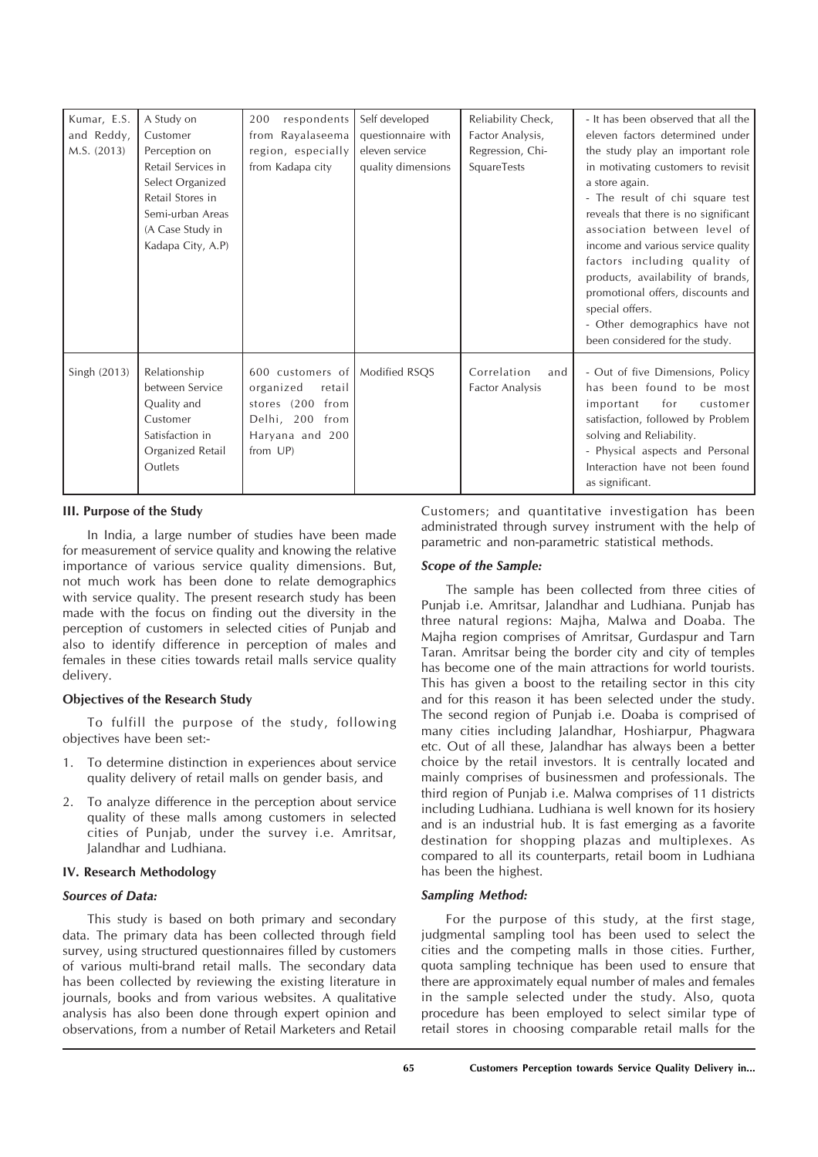| Kumar, E.S.<br>and Reddy,<br>M.S. (2013) | A Study on<br>Customer<br>Perception on<br>Retail Services in<br>Select Organized<br>Retail Stores in<br>Semi-urban Areas<br>(A Case Study in<br>Kadapa City, A.P) | respondents<br>200<br>from Rayalaseema<br>region, especially<br>from Kadapa city                                              | Self developed<br>questionnaire with<br>eleven service<br>quality dimensions | Reliability Check,<br>Factor Analysis,<br>Regression, Chi-<br>SquareTests | - It has been observed that all the<br>eleven factors determined under<br>the study play an important role<br>in motivating customers to revisit<br>a store again.<br>- The result of chi square test<br>reveals that there is no significant<br>association between level of<br>income and various service quality<br>factors including quality of<br>products, availability of brands,<br>promotional offers, discounts and<br>special offers.<br>- Other demographics have not<br>been considered for the study. |
|------------------------------------------|--------------------------------------------------------------------------------------------------------------------------------------------------------------------|-------------------------------------------------------------------------------------------------------------------------------|------------------------------------------------------------------------------|---------------------------------------------------------------------------|---------------------------------------------------------------------------------------------------------------------------------------------------------------------------------------------------------------------------------------------------------------------------------------------------------------------------------------------------------------------------------------------------------------------------------------------------------------------------------------------------------------------|
| Singh (2013)                             | Relationship<br>between Service<br>Quality and<br>Customer<br>Satisfaction in<br>Organized Retail<br>Outlets                                                       | 600 customers of   Modified RSQS<br>organized<br>retail<br>stores (200 from<br>Delhi, 200 from<br>Haryana and 200<br>from UP) |                                                                              | Correlation<br>and<br><b>Factor Analysis</b>                              | - Out of five Dimensions, Policy<br>has been found to be most<br>for<br>important<br>customer<br>satisfaction, followed by Problem<br>solving and Reliability.<br>- Physical aspects and Personal<br>Interaction have not been found<br>as significant.                                                                                                                                                                                                                                                             |

## **III. Purpose of the Study**

In India, a large number of studies have been made for measurement of service quality and knowing the relative importance of various service quality dimensions. But, not much work has been done to relate demographics with service quality. The present research study has been made with the focus on finding out the diversity in the perception of customers in selected cities of Punjab and also to identify difference in perception of males and females in these cities towards retail malls service quality delivery.

#### **Objectives of the Research Study**

To fulfill the purpose of the study, following objectives have been set:-

- 1. To determine distinction in experiences about service quality delivery of retail malls on gender basis, and
- 2. To analyze difference in the perception about service quality of these malls among customers in selected cities of Punjab, under the survey i.e. Amritsar, Jalandhar and Ludhiana.

## **IV. Research Methodology**

## *Sources of Data:*

This study is based on both primary and secondary data. The primary data has been collected through field survey, using structured questionnaires filled by customers of various multi-brand retail malls. The secondary data has been collected by reviewing the existing literature in journals, books and from various websites. A qualitative analysis has also been done through expert opinion and observations, from a number of Retail Marketers and Retail

Customers; and quantitative investigation has been administrated through survey instrument with the help of parametric and non-parametric statistical methods.

## *Scope of the Sample:*

The sample has been collected from three cities of Punjab i.e. Amritsar, Jalandhar and Ludhiana. Punjab has three natural regions: Majha, Malwa and Doaba. The Majha region comprises of Amritsar, Gurdaspur and Tarn Taran. Amritsar being the border city and city of temples has become one of the main attractions for world tourists. This has given a boost to the retailing sector in this city and for this reason it has been selected under the study. The second region of Punjab i.e. Doaba is comprised of many cities including Jalandhar, Hoshiarpur, Phagwara etc. Out of all these, Jalandhar has always been a better choice by the retail investors. It is centrally located and mainly comprises of businessmen and professionals. The third region of Punjab i.e. Malwa comprises of 11 districts including Ludhiana. Ludhiana is well known for its hosiery and is an industrial hub. It is fast emerging as a favorite destination for shopping plazas and multiplexes. As compared to all its counterparts, retail boom in Ludhiana has been the highest.

#### *Sampling Method:*

For the purpose of this study, at the first stage, judgmental sampling tool has been used to select the cities and the competing malls in those cities. Further, quota sampling technique has been used to ensure that there are approximately equal number of males and females in the sample selected under the study. Also, quota procedure has been employed to select similar type of retail stores in choosing comparable retail malls for the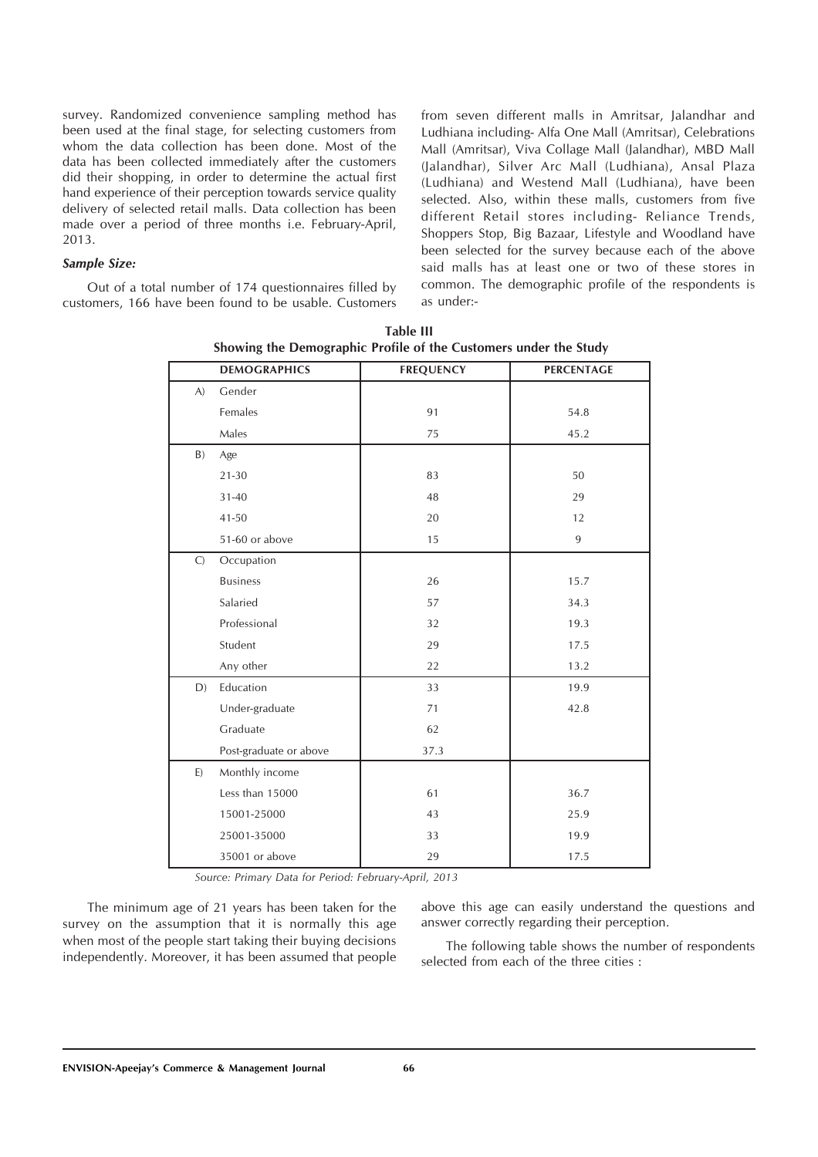survey. Randomized convenience sampling method has been used at the final stage, for selecting customers from whom the data collection has been done. Most of the data has been collected immediately after the customers did their shopping, in order to determine the actual first hand experience of their perception towards service quality delivery of selected retail malls. Data collection has been made over a period of three months i.e. February-April, 2013.

## *Sample Size:*

Out of a total number of 174 questionnaires filled by customers, 166 have been found to be usable. Customers from seven different malls in Amritsar, Jalandhar and Ludhiana including- Alfa One Mall (Amritsar), Celebrations Mall (Amritsar), Viva Collage Mall (Jalandhar), MBD Mall (Jalandhar), Silver Arc Mall (Ludhiana), Ansal Plaza (Ludhiana) and Westend Mall (Ludhiana), have been selected. Also, within these malls, customers from five different Retail stores including- Reliance Trends, Shoppers Stop, Big Bazaar, Lifestyle and Woodland have been selected for the survey because each of the above said malls has at least one or two of these stores in common. The demographic profile of the respondents is as under:-

|               | <b>DEMOGRAPHICS</b>    | <b>FREQUENCY</b> | PERCENTAGE |
|---------------|------------------------|------------------|------------|
| (A)           | Gender                 |                  |            |
|               | Females                | 91               | 54.8       |
|               | Males                  | 75               | 45.2       |
| B)            | Age                    |                  |            |
|               | $21 - 30$              | 83               | 50         |
|               | $31 - 40$              | 48               | 29         |
|               | 41-50                  | 20               | 12         |
|               | 51-60 or above         | 15               | 9          |
| $\mathcal{C}$ | Occupation             |                  |            |
|               | <b>Business</b>        | 26               | 15.7       |
|               | Salaried               | 57               | 34.3       |
|               | Professional           | 32               | 19.3       |
|               | Student                | 29               | 17.5       |
|               | Any other              | 22               | 13.2       |
| D)            | Education              | 33               | 19.9       |
|               | Under-graduate         | 71               | 42.8       |
|               | Graduate               | 62               |            |
|               | Post-graduate or above | 37.3             |            |
| E)            | Monthly income         |                  |            |
|               | Less than 15000        | 61               | 36.7       |
|               | 15001-25000            | 43               | 25.9       |
|               | 25001-35000            | 33               | 19.9       |
|               | 35001 or above         | 29               | 17.5       |

**Table III Showing the Demographic Profile of the Customers under the Study**

*Source: Primary Data for Period: February-April, 2013*

The minimum age of 21 years has been taken for the survey on the assumption that it is normally this age when most of the people start taking their buying decisions independently. Moreover, it has been assumed that people

above this age can easily understand the questions and answer correctly regarding their perception.

The following table shows the number of respondents selected from each of the three cities :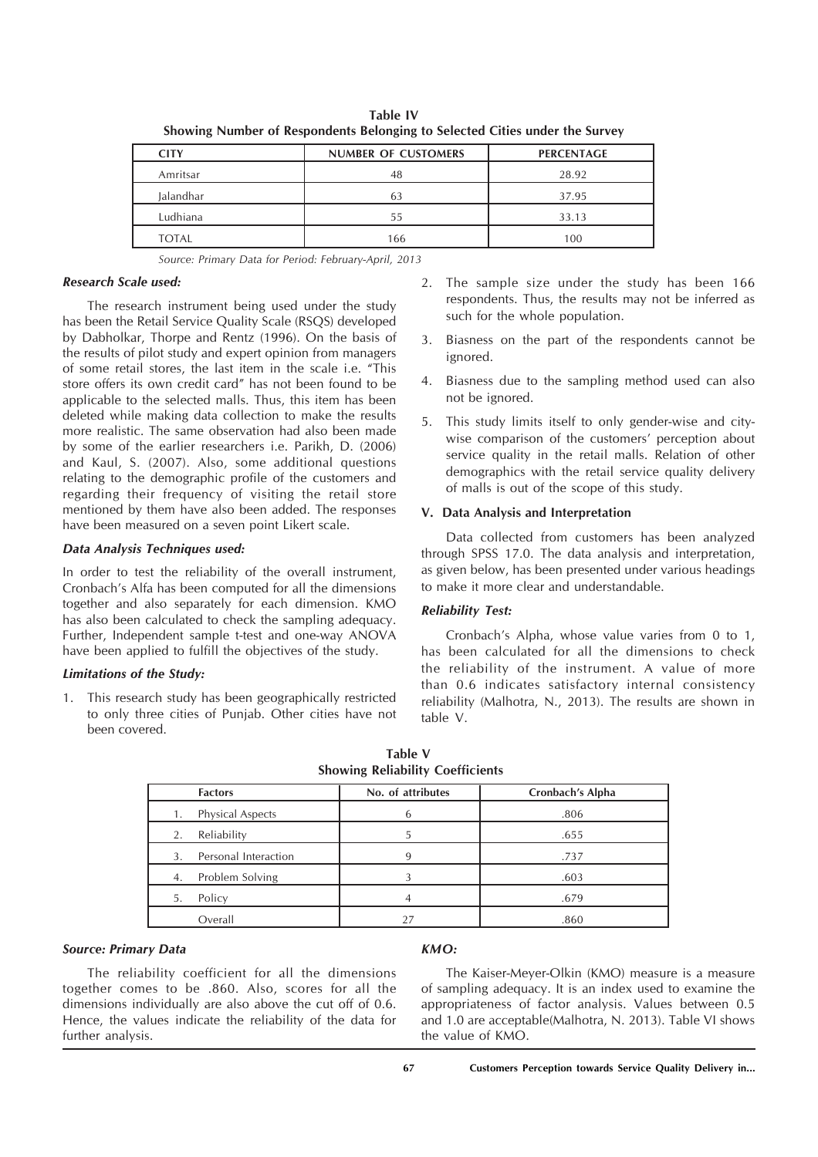| showing runner or hespondents belonging to selected entes ander the survey |                            |                   |  |  |
|----------------------------------------------------------------------------|----------------------------|-------------------|--|--|
| <b>CITY</b>                                                                | <b>NUMBER OF CUSTOMERS</b> | <b>PERCENTAGE</b> |  |  |
| Amritsar                                                                   | 48                         | 28.92             |  |  |
| Jalandhar                                                                  | 63                         | 37.95             |  |  |
| Ludhiana                                                                   | 55                         | 33.13             |  |  |
| <b>TOTAL</b>                                                               | 166                        | 100               |  |  |

**Table IV Showing Number of Respondents Belonging to Selected Cities under the Survey**

*Source: Primary Data for Period: February-April, 2013*

## *Research Scale used:*

The research instrument being used under the study has been the Retail Service Quality Scale (RSQS) developed by Dabholkar, Thorpe and Rentz (1996). On the basis of the results of pilot study and expert opinion from managers of some retail stores, the last item in the scale i.e. "This store offers its own credit card" has not been found to be applicable to the selected malls. Thus, this item has been deleted while making data collection to make the results more realistic. The same observation had also been made by some of the earlier researchers i.e. Parikh, D. (2006) and Kaul, S. (2007). Also, some additional questions relating to the demographic profile of the customers and regarding their frequency of visiting the retail store mentioned by them have also been added. The responses have been measured on a seven point Likert scale.

## *Data Analysis Techniques used:*

In order to test the reliability of the overall instrument, Cronbach's Alfa has been computed for all the dimensions together and also separately for each dimension. KMO has also been calculated to check the sampling adequacy. Further, Independent sample t-test and one-way ANOVA have been applied to fulfill the objectives of the study.

## *Limitations of the Study:*

1. This research study has been geographically restricted to only three cities of Punjab. Other cities have not been covered.

- 2. The sample size under the study has been 166 respondents. Thus, the results may not be inferred as such for the whole population.
- 3. Biasness on the part of the respondents cannot be ignored.
- 4. Biasness due to the sampling method used can also not be ignored.
- 5. This study limits itself to only gender-wise and citywise comparison of the customers' perception about service quality in the retail malls. Relation of other demographics with the retail service quality delivery of malls is out of the scope of this study.

## **V. Data Analysis and Interpretation**

Data collected from customers has been analyzed through SPSS 17.0. The data analysis and interpretation, as given below, has been presented under various headings to make it more clear and understandable.

## *Reliability Test:*

Cronbach's Alpha, whose value varies from 0 to 1, has been calculated for all the dimensions to check the reliability of the instrument. A value of more than 0.6 indicates satisfactory internal consistency reliability (Malhotra, N., 2013). The results are shown in table V.

| <b>Factors</b>                | No. of attributes | Cronbach's Alpha |
|-------------------------------|-------------------|------------------|
| <b>Physical Aspects</b><br>1. |                   | .806             |
| Reliability<br>2.             |                   | .655             |
| Personal Interaction<br>3.    |                   | .737             |
| Problem Solving<br>4.         |                   | .603             |
| Policy<br>5.                  |                   | .679             |
| Overall                       |                   | .860             |

| Table V |                                         |
|---------|-----------------------------------------|
|         | <b>Showing Reliability Coefficients</b> |

**Table V**

## *Source: Primary Data*

The reliability coefficient for all the dimensions together comes to be .860. Also, scores for all the dimensions individually are also above the cut off of 0.6. Hence, the values indicate the reliability of the data for further analysis.

# *KMO:*

The Kaiser-Meyer-Olkin (KMO) measure is a measure of sampling adequacy. It is an index used to examine the appropriateness of factor analysis. Values between 0.5 and 1.0 are acceptable(Malhotra, N. 2013). Table VI shows the value of KMO.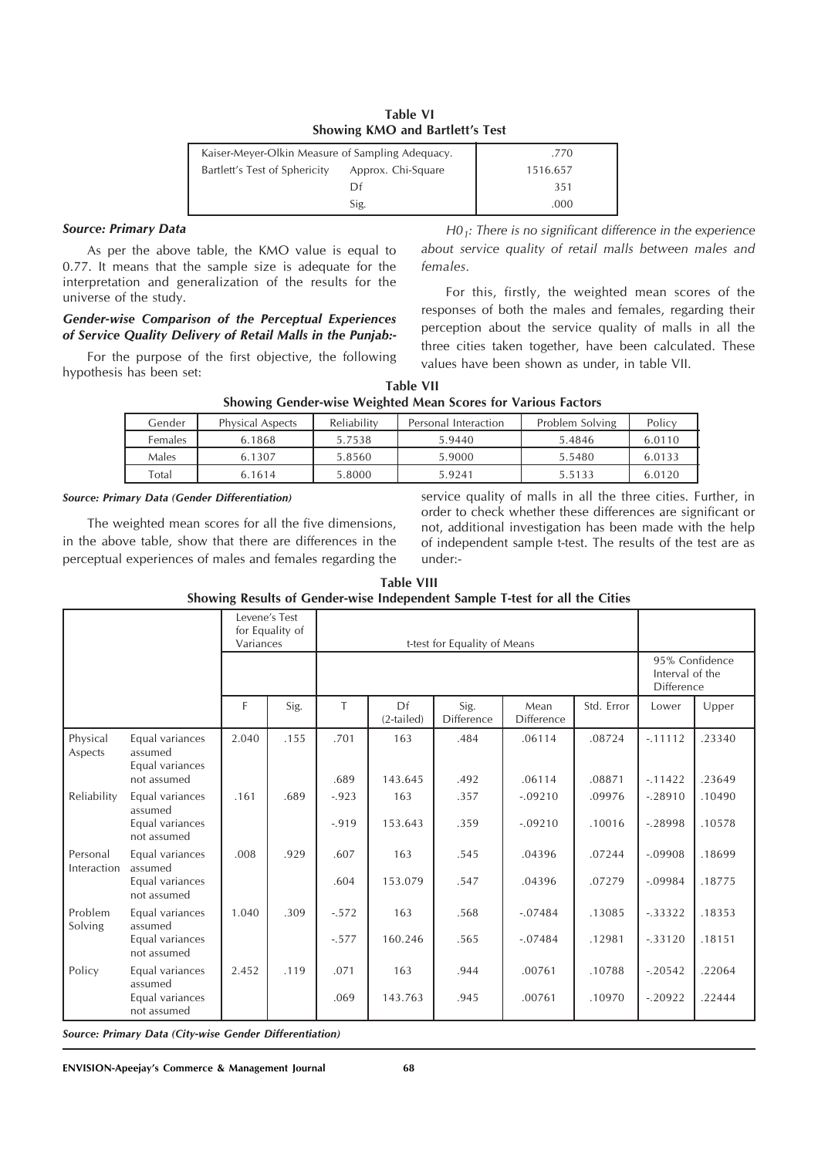| Table VI                        |  |
|---------------------------------|--|
| Showing KMO and Bartlett's Test |  |

| Kaiser-Meyer-Olkin Measure of Sampling Adequacy.    | .770     |
|-----------------------------------------------------|----------|
| Bartlett's Test of Sphericity<br>Approx. Chi-Square | 1516.657 |
|                                                     | 351      |
| Sig.                                                | .000     |

#### *Source: Primary Data*

As per the above table, the KMO value is equal to 0.77. It means that the sample size is adequate for the interpretation and generalization of the results for the universe of the study.

## *Gender-wise Comparison of the Perceptual Experiences of Service Quality Delivery of Retail Malls in the Punjab:-*

For the purpose of the first objective, the following hypothesis has been set:

*H01: There is no significant difference in the experience about service quality of retail malls between males and females.*

For this, firstly, the weighted mean scores of the responses of both the males and females, regarding their perception about the service quality of malls in all the three cities taken together, have been calculated. These values have been shown as under, in table VII.

| Table VII                                                    |
|--------------------------------------------------------------|
| Showing Gender-wise Weighted Mean Scores for Various Factors |

| Gender  | <b>Physical Aspects</b> | Reliability | Personal Interaction | Problem Solving | Policy |
|---------|-------------------------|-------------|----------------------|-----------------|--------|
| Females | 6.1868                  | 5.7538      | 5.9440               | 5.4846          | 6.0110 |
| Males   | 6.1307                  | 5.8560      | 5.9000               | 5.5480          | 6.0133 |
| Total   | 6.1614                  | 5.8000      | 5.9241               | 5.5133          | 6.0120 |

#### *Source: Primary Data (Gender Differentiation)*

The weighted mean scores for all the five dimensions, in the above table, show that there are differences in the perceptual experiences of males and females regarding the

service quality of malls in all the three cities. Further, in order to check whether these differences are significant or not, additional investigation has been made with the help of independent sample t-test. The results of the test are as under:-

| <b>Table VIII</b>                                                           |
|-----------------------------------------------------------------------------|
| Showing Results of Gender-wise Independent Sample T-test for all the Cities |

| Levene's Test<br>for Equality of<br>Variances |                                               |       | t-test for Equality of Means |          |                    |                           |                           |            |                                                 |        |
|-----------------------------------------------|-----------------------------------------------|-------|------------------------------|----------|--------------------|---------------------------|---------------------------|------------|-------------------------------------------------|--------|
|                                               |                                               |       |                              |          |                    |                           |                           |            | 95% Confidence<br>Interval of the<br>Difference |        |
|                                               |                                               | F.    | Sig.                         | T        | Df<br>$(2-tailed)$ | Sig.<br><b>Difference</b> | Mean<br><b>Difference</b> | Std. Error | Lower                                           | Upper  |
| Physical<br>Aspects                           | Equal variances<br>assumed<br>Equal variances | 2.040 | .155                         | .701     | 163                | .484                      | .06114                    | .08724     | $-11112$                                        | .23340 |
|                                               | not assumed                                   |       |                              | .689     | 143.645            | .492                      | .06114                    | .08871     | $-11422$                                        | .23649 |
| Reliability                                   | Equal variances<br>assumed                    | .161  | .689                         | $-0.923$ | 163                | .357                      | $-.09210$                 | .09976     | $-.28910$                                       | .10490 |
|                                               | Equal variances<br>not assumed                |       |                              | $-0.919$ | 153.643            | .359                      | $-.09210$                 | .10016     | $-.28998$                                       | .10578 |
| Personal<br>Interaction                       | Equal variances<br>assumed                    | .008  | .929                         | .607     | 163                | .545                      | .04396                    | .07244     | $-.09908$                                       | .18699 |
|                                               | Equal variances<br>not assumed                |       |                              | .604     | 153.079            | .547                      | .04396                    | .07279     | $-.09984$                                       | .18775 |
| Problem<br>Solving                            | Equal variances<br>assumed                    | 1.040 | .309                         | $-.572$  | 163                | .568                      | $-.07484$                 | .13085     | $-.33322$                                       | .18353 |
|                                               | Equal variances<br>not assumed                |       |                              | $-.577$  | 160.246            | .565                      | $-.07484$                 | .12981     | $-.33120$                                       | .18151 |
| Policy                                        | Equal variances<br>assumed                    | 2.452 | .119                         | .071     | 163                | .944                      | .00761                    | .10788     | $-.20542$                                       | .22064 |
|                                               | Equal variances<br>not assumed                |       |                              | .069     | 143.763            | .945                      | .00761                    | .10970     | $-.20922$                                       | .22444 |

*Source: Primary Data (City-wise Gender Differentiation)*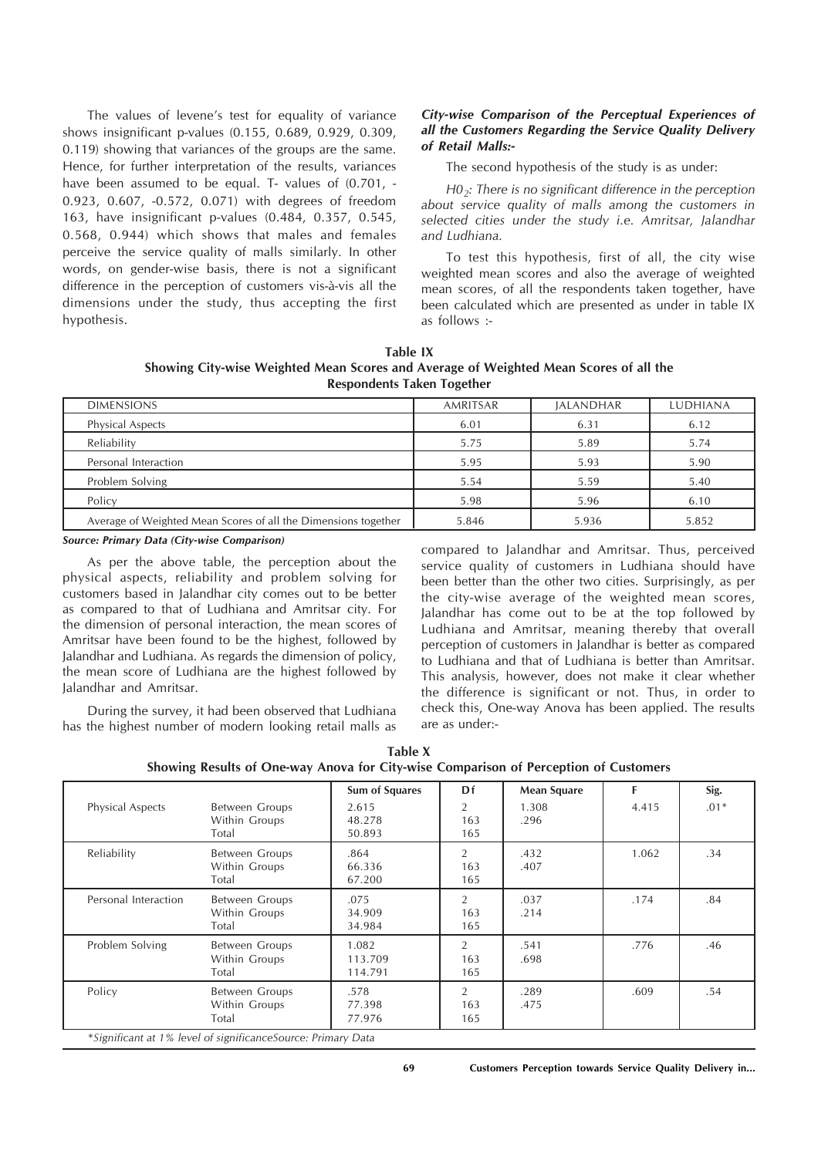The values of levene's test for equality of variance shows insignificant p-values (0.155, 0.689, 0.929, 0.309, 0.119) showing that variances of the groups are the same. Hence, for further interpretation of the results, variances have been assumed to be equal. T- values of  $(0.701, -1)$ 0.923, 0.607, -0.572, 0.071) with degrees of freedom 163, have insignificant p-values (0.484, 0.357, 0.545, 0.568, 0.944) which shows that males and females perceive the service quality of malls similarly. In other words, on gender-wise basis, there is not a significant difference in the perception of customers vis-à-vis all the dimensions under the study, thus accepting the first hypothesis.

## *City-wise Comparison of the Perceptual Experiences of all the Customers Regarding the Service Quality Delivery of Retail Malls:-*

The second hypothesis of the study is as under:

*H02: There is no significant difference in the perception about service quality of malls among the customers in selected cities under the study i.e. Amritsar, Jalandhar and Ludhiana.*

To test this hypothesis, first of all, the city wise weighted mean scores and also the average of weighted mean scores, of all the respondents taken together, have been calculated which are presented as under in table IX as follows :-

**Table IX Showing City-wise Weighted Mean Scores and Average of Weighted Mean Scores of all the Respondents Taken Together**

| <b>DIMENSIONS</b>                                              | AMRITSAR | <b>JALANDHAR</b> | <b>LUDHIANA</b> |
|----------------------------------------------------------------|----------|------------------|-----------------|
| Physical Aspects                                               | 6.01     | 6.31             | 6.12            |
| Reliability                                                    | 5.75     | 5.89             | 5.74            |
| Personal Interaction                                           | 5.95     | 5.93             | 5.90            |
| Problem Solving                                                | 5.54     | 5.59             | 5.40            |
| Policy                                                         | 5.98     | 5.96             | 6.10            |
| Average of Weighted Mean Scores of all the Dimensions together | 5.846    | 5.936            | 5.852           |

*Source: Primary Data (City-wise Comparison)*

As per the above table, the perception about the physical aspects, reliability and problem solving for customers based in Jalandhar city comes out to be better as compared to that of Ludhiana and Amritsar city. For the dimension of personal interaction, the mean scores of Amritsar have been found to be the highest, followed by Jalandhar and Ludhiana. As regards the dimension of policy, the mean score of Ludhiana are the highest followed by Jalandhar and Amritsar.

During the survey, it had been observed that Ludhiana has the highest number of modern looking retail malls as compared to Jalandhar and Amritsar. Thus, perceived service quality of customers in Ludhiana should have been better than the other two cities. Surprisingly, as per the city-wise average of the weighted mean scores, Jalandhar has come out to be at the top followed by Ludhiana and Amritsar, meaning thereby that overall perception of customers in Jalandhar is better as compared to Ludhiana and that of Ludhiana is better than Amritsar. This analysis, however, does not make it clear whether the difference is significant or not. Thus, in order to check this, One-way Anova has been applied. The results are as under:-

| Table X                                                                              |
|--------------------------------------------------------------------------------------|
| Showing Results of One-way Anova for City-wise Comparison of Perception of Customers |

|                      |                                                 | Sum of Squares              | Df                           | <b>Mean Square</b> | F     | Sig.   |
|----------------------|-------------------------------------------------|-----------------------------|------------------------------|--------------------|-------|--------|
| Physical Aspects     | Between Groups<br>Within Groups<br>Total        | 2.615<br>48.278<br>50.893   | 2<br>163<br>165              | 1.308<br>.296      | 4.415 | $.01*$ |
| Reliability          | Between Groups<br>Within Groups<br>Total        | .864<br>66.336<br>67.200    | $\overline{2}$<br>163<br>165 | .432<br>.407       | 1.062 | .34    |
| Personal Interaction | <b>Between Groups</b><br>Within Groups<br>Total | .075<br>34.909<br>34.984    | 2<br>163<br>165              | .037<br>.214       | .174  | .84    |
| Problem Solving      | Between Groups<br>Within Groups<br>Total        | 1.082<br>113.709<br>114.791 | 2<br>163<br>165              | .541<br>.698       | .776  | .46    |
| Policy               | Between Groups<br>Within Groups<br>Total        | .578<br>77.398<br>77.976    | 2<br>163<br>165              | .289<br>.475       | .609  | .54    |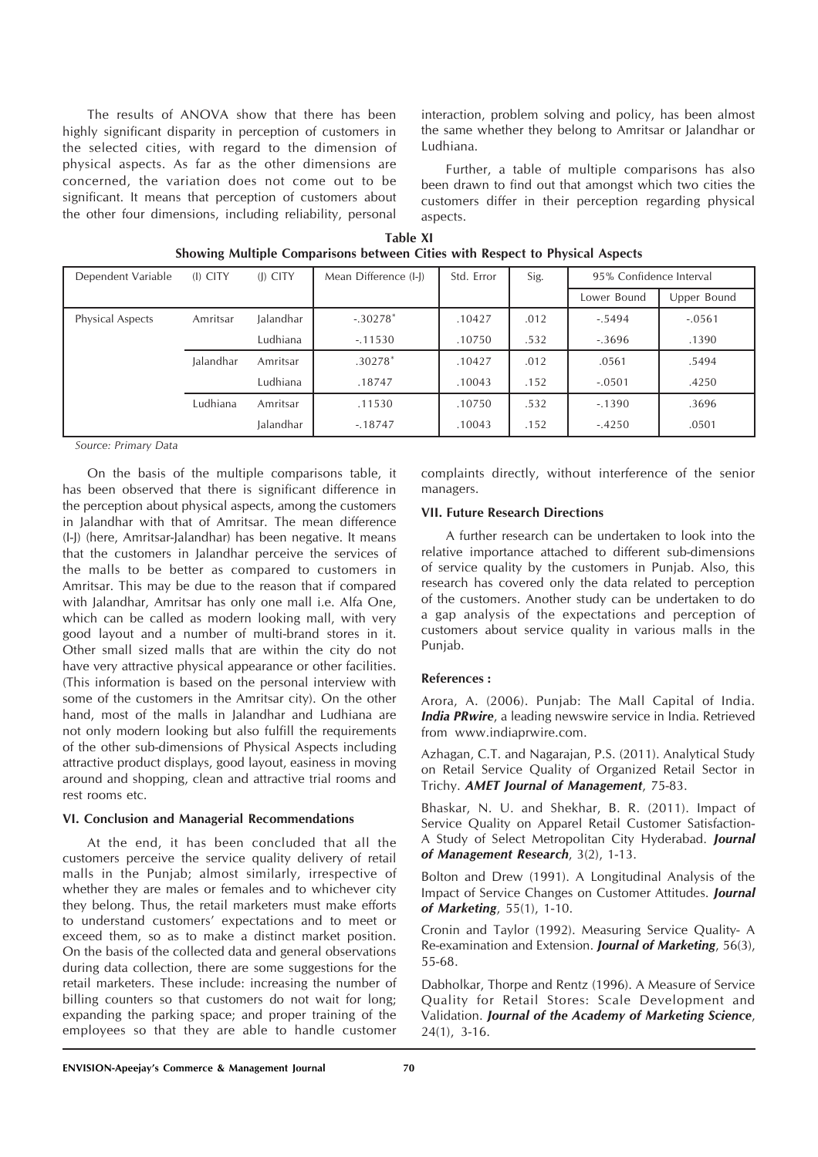The results of ANOVA show that there has been highly significant disparity in perception of customers in the selected cities, with regard to the dimension of physical aspects. As far as the other dimensions are concerned, the variation does not come out to be significant. It means that perception of customers about the other four dimensions, including reliability, personal

interaction, problem solving and policy, has been almost the same whether they belong to Amritsar or Jalandhar or Ludhiana.

Further, a table of multiple comparisons has also been drawn to find out that amongst which two cities the customers differ in their perception regarding physical aspects.

| Table XI                                                                     |
|------------------------------------------------------------------------------|
| Showing Multiple Comparisons between Cities with Respect to Physical Aspects |

| Dependent Variable      | (I) CITY  | $(I)$ CITY | Mean Difference (I-J) | Std. Error | Sig. | 95% Confidence Interval |             |
|-------------------------|-----------|------------|-----------------------|------------|------|-------------------------|-------------|
|                         |           |            |                       |            |      | Lower Bound             | Upper Bound |
| <b>Physical Aspects</b> | Amritsar  | Jalandhar  | $-.30278*$            | .10427     | .012 | $-.5494$                | $-.0561$    |
|                         |           | Ludhiana   | $-11530$              | .10750     | .532 | $-.3696$                | .1390       |
|                         | Jalandhar | Amritsar   | $.30278*$             | .10427     | .012 | .0561                   | .5494       |
|                         |           | Ludhiana   | .18747                | .10043     | .152 | $-.0501$                | .4250       |
|                         | Ludhiana  | Amritsar   | .11530                | .10750     | .532 | $-.1390$                | .3696       |
|                         |           | Jalandhar  | $-18747$              | .10043     | .152 | $-.4250$                | .0501       |

*Source: Primary Data*

On the basis of the multiple comparisons table, it has been observed that there is significant difference in the perception about physical aspects, among the customers in Jalandhar with that of Amritsar. The mean difference (I-J) (here, Amritsar-Jalandhar) has been negative. It means that the customers in Jalandhar perceive the services of the malls to be better as compared to customers in Amritsar. This may be due to the reason that if compared with Jalandhar, Amritsar has only one mall i.e. Alfa One, which can be called as modern looking mall, with very good layout and a number of multi-brand stores in it. Other small sized malls that are within the city do not have very attractive physical appearance or other facilities. (This information is based on the personal interview with some of the customers in the Amritsar city). On the other hand, most of the malls in Jalandhar and Ludhiana are not only modern looking but also fulfill the requirements of the other sub-dimensions of Physical Aspects including attractive product displays, good layout, easiness in moving around and shopping, clean and attractive trial rooms and rest rooms etc.

#### **VI. Conclusion and Managerial Recommendations**

At the end, it has been concluded that all the customers perceive the service quality delivery of retail malls in the Punjab; almost similarly, irrespective of whether they are males or females and to whichever city they belong. Thus, the retail marketers must make efforts to understand customers' expectations and to meet or exceed them, so as to make a distinct market position. On the basis of the collected data and general observations during data collection, there are some suggestions for the retail marketers. These include: increasing the number of billing counters so that customers do not wait for long; expanding the parking space; and proper training of the employees so that they are able to handle customer

complaints directly, without interference of the senior managers.

#### **VII. Future Research Directions**

A further research can be undertaken to look into the relative importance attached to different sub-dimensions of service quality by the customers in Punjab. Also, this research has covered only the data related to perception of the customers. Another study can be undertaken to do a gap analysis of the expectations and perception of customers about service quality in various malls in the Punjab.

### **References :**

Arora, A. (2006). Punjab: The Mall Capital of India. *India PRwire*, a leading newswire service in India. Retrieved from www.indiaprwire.com.

Azhagan, C.T. and Nagarajan, P.S. (2011). Analytical Study on Retail Service Quality of Organized Retail Sector in Trichy. *AMET Journal of Management*, 75-83.

Bhaskar, N. U. and Shekhar, B. R. (2011). Impact of Service Quality on Apparel Retail Customer Satisfaction-A Study of Select Metropolitan City Hyderabad. *Journal of Management Research*, 3(2), 1-13.

Bolton and Drew (1991). A Longitudinal Analysis of the Impact of Service Changes on Customer Attitudes. *Journal of Marketing*, 55(1), 1-10.

Cronin and Taylor (1992). Measuring Service Quality- A Re-examination and Extension. *Journal of Marketing*, 56(3), 55-68.

Dabholkar, Thorpe and Rentz (1996). A Measure of Service Quality for Retail Stores: Scale Development and Validation. *Journal of the Academy of Marketing Science*, 24(1), 3-16.